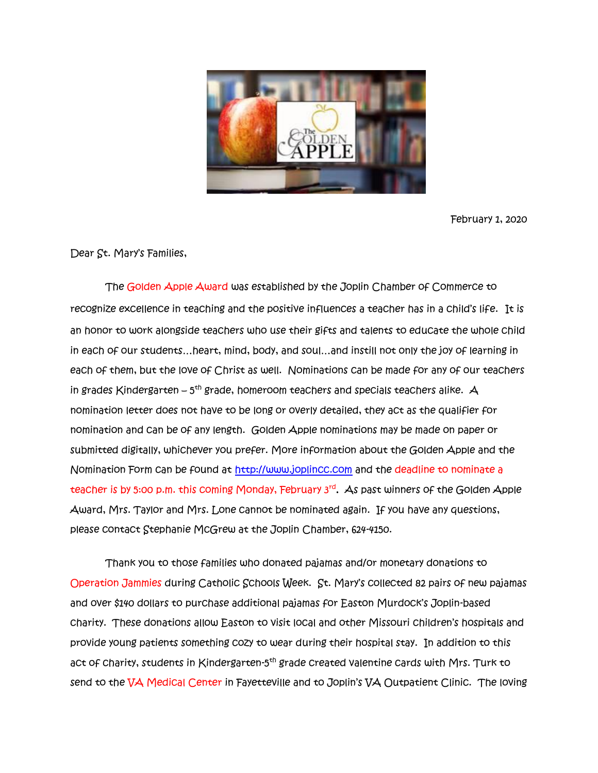

February 1, 2020

Dear St. Mary's Families,

The Golden Apple Award was established by the Joplin Chamber of Commerce to recognize excellence in teaching and the positive influences a teacher has in a child's life. It is an honor to work alongside teachers who use their gifts and talents to educate the whole child in each of our students…heart, mind, body, and soul…and instill not only the joy of learning in each of them, but the love of Christ as well. Nominations can be made for any of our teachers in grades Kindergarten – 5<sup>th</sup> grade, homeroom teachers and specials teachers alike.  $\bm{\mathcal{A}}$ nomination letter does not have to be long or overly detailed, they act as the qualifier for nomination and can be of any length. Golden Apple nominations may be made on paper or submitted digitally, whichever you prefer. More information about the Golden Apple and the Nomination Form can be found at [http://www.joplincc.com](http://www.joplincc.com/) and the deadline to nominate a teacher is by 5:00 p.m. this coming Monday, February 3<sup>rd</sup>. As past winners of the Golden Apple Award, Mrs. Taylor and Mrs. Lone cannot be nominated again. If you have any questions, please contact Stephanie McGrew at the Joplin Chamber, 624-4150.

Thank you to those families who donated pajamas and/or monetary donations to Operation Jammies during Catholic Schools Week. St. Mary's collected 82 pairs of new pajamas and over \$140 dollars to purchase additional pajamas for Easton Murdock's Joplin-based charity. These donations allow Easton to visit local and other Missouri children's hospitals and provide young patients something cozy to wear during their hospital stay. In addition to this act of charity, students in Kindergarten-5<sup>th</sup> grade created valentine cards with Mrs. Turk to send to the  $\overline{VA}$  Medical Center in Fayetteville and to Joplin's  $\overline{VA}$  Outpatient Clinic. The loving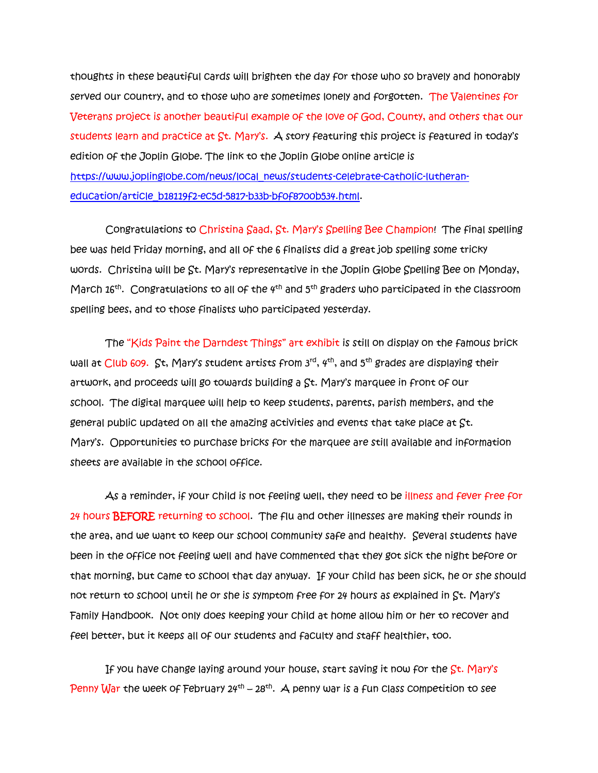thoughts in these beautiful cards will brighten the day for those who so bravely and honorably served our country, and to those who are sometimes lonely and forgotten. The Valentines for Veterans project is another beautiful example of the love of God, County, and others that our students learn and practice at St. Mary's. A story featuring this project is featured in today's edition of the Joplin Globe. The link to the Joplin Globe online article is [https://www.joplinglobe.com/news/local\\_news/students-celebrate-catholic-lutheran](https://www.joplinglobe.com/news/local_news/students-celebrate-catholic-lutheran-education/article_b18119f2-ec5d-5817-b33b-bf0f8700b534.html)[education/article\\_b18119f2-ec5d-5817-b33b-bf0f8700b534.html.](https://www.joplinglobe.com/news/local_news/students-celebrate-catholic-lutheran-education/article_b18119f2-ec5d-5817-b33b-bf0f8700b534.html)

Congratulations to Christina Saad, St. Mary's Spelling Bee Champion! The final spelling bee was held Friday morning, and all of the 6 finalists did a great job spelling some tricky words. Christina will be St. Mary's representative in the Joplin Globe Spelling Bee on Monday, March 16<sup>th</sup>. Congratulations to all of the 4<sup>th</sup> and 5<sup>th</sup> graders who participated in the classroom spelling bees, and to those finalists who participated yesterday.

The "Kids Paint the Darndest Things" art exhibit is still on display on the famous brick wall at Club 609. St, Mary's student artists from 3rd, 4th, and 5th grades are displaying their artwork, and proceeds will go towards building a St. Mary's marquee in front of our school. The digital marquee will help to keep students, parents, parish members, and the general public updated on all the amazing activities and events that take place at St. Mary's. Opportunities to purchase bricks for the marquee are still available and information sheets are available in the school office.

As a reminder, if your child is not feeling well, they need to be illness and fever free for 24 hours **BEFORE** returning to school. The flu and other illnesses are making their rounds in the area, and we want to keep our school community safe and healthy. Several students have been in the office not feeling well and have commented that they got sick the night before or that morning, but came to school that day anyway. If your child has been sick, he or she should not return to school until he or she is symptom free for 24 hours as explained in St. Mary's Family Handbook. Not only does keeping your child at home allow him or her to recover and feel better, but it keeps all of our students and faculty and staff healthier, too.

If you have change laying around your house, start saving it now for the St. Mary's Penny  $W$ ar the week of February 24<sup>th</sup> – 28<sup>th</sup>.  $\,$  penny war is a fun class competition to see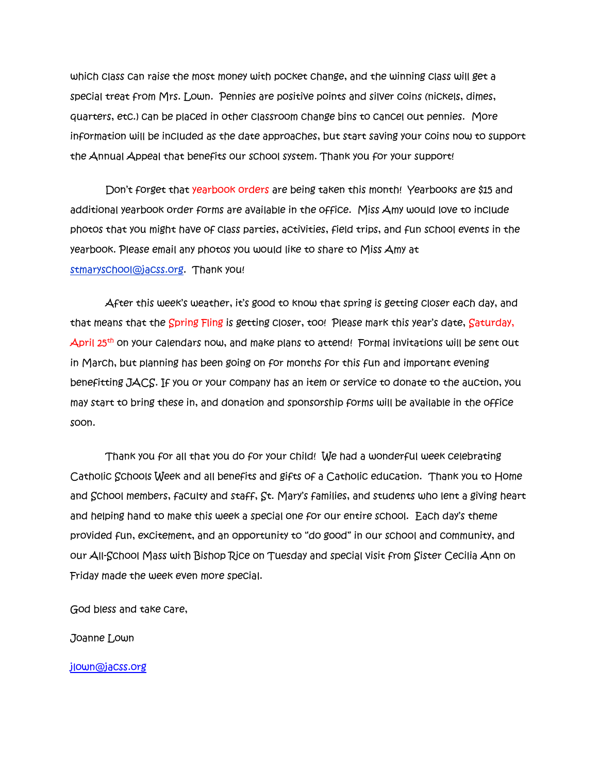which class can raise the most money with pocket change, and the winning class will get a special treat from Mrs. Lown. Pennies are positive points and silver coins (nickels, dimes, quarters, etc.) can be placed in other classroom change bins to cancel out pennies. More information will be included as the date approaches, but start saving your coins now to support the Annual Appeal that benefits our school system. Thank you for your support!

Don't forget that yearbook orders are being taken this month! Yearbooks are \$15 and additional yearbook order forms are available in the office. Miss Amy would love to include photos that you might have of class parties, activities, field trips, and fun school events in the yearbook. Please email any photos you would like to share to Miss Amy at [stmaryschool@jacss.org.](mailto:stmaryschool@jacss.org) Thank you!

 After this week's weather, it's good to know that spring is getting closer each day, and that means that the Spring Fling is getting closer, too! Please mark this year's date, Saturday, April 25<sup>th</sup> on your calendars now, and make plans to attend! Formal invitations will be sent out in March, but planning has been going on for months for this fun and important evening benefitting JACS. If you or your company has an item or service to donate to the auction, you may start to bring these in, and donation and sponsorship forms will be available in the office soon.

 Thank you for all that you do for your child! We had a wonderful week celebrating Catholic Schools Week and all benefits and gifts of a Catholic education. Thank you to Home and School members, faculty and staff, St. Mary's families, and students who lent a giving heart and helping hand to make this week a special one for our entire school. Each day's theme provided fun, excitement, and an opportunity to "do good" in our school and community, and our All-School Mass with Bishop Rice on Tuesday and special visit from Sister Cecilia Ann on Friday made the week even more special.

God bless and take care,

Joanne Lown

[jlown@jacss.org](mailto:jlown@jacss.org)